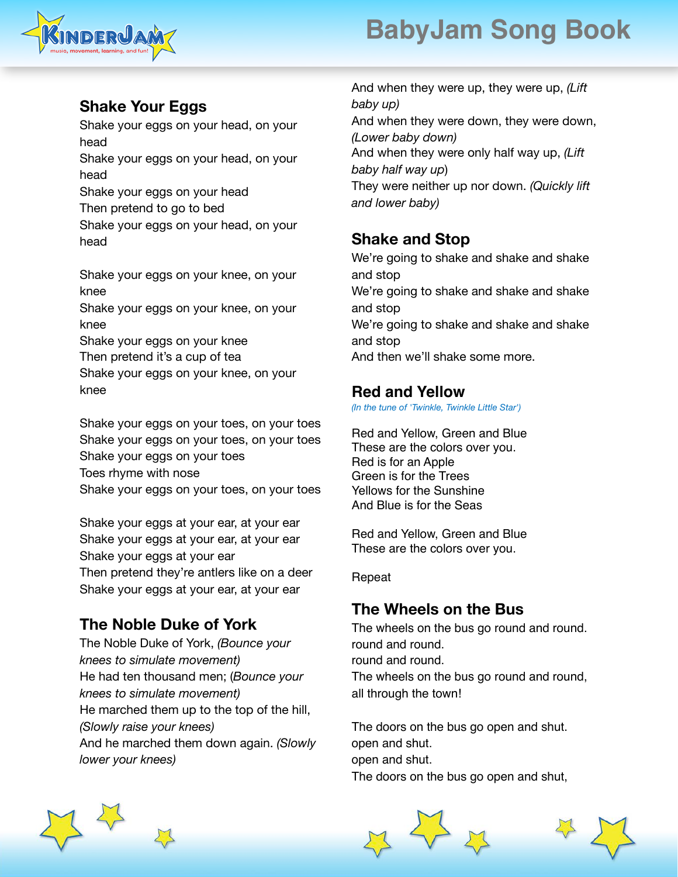

# **BabyJam Song Book**

### **Shake Your Eggs**

Shake your eggs on your head, on your head Shake your eggs on your head, on your

head

Shake your eggs on your head

Then pretend to go to bed

Shake your eggs on your head, on your head

Shake your eggs on your knee, on your knee Shake your eggs on your knee, on your knee Shake your eggs on your knee

Then pretend it's a cup of tea Shake your eggs on your knee, on your knee

Shake your eggs on your toes, on your toes Shake your eggs on your toes, on your toes Shake your eggs on your toes Toes rhyme with nose Shake your eggs on your toes, on your toes

Shake your eggs at your ear, at your ear Shake your eggs at your ear, at your ear Shake your eggs at your ear Then pretend they're antlers like on a deer Shake your eggs at your ear, at your ear

# **The Noble Duke of York**

The Noble Duke of York, *(Bounce your knees to simulate movement)* He had ten thousand men; (*Bounce your knees to simulate movement)* He marched them up to the top of the hill, *(Slowly raise your knees)* And he marched them down again. *(Slowly lower your knees)* 

And when they were up, they were up, *(Lift baby up)* And when they were down, they were down, *(Lower baby down)* And when they were only half way up, *(Lift baby half way up*) They were neither up nor down. *(Quickly lift and lower baby)*

## **Shake and Stop**

We're going to shake and shake and shake and stop We're going to shake and shake and shake and stop We're going to shake and shake and shake and stop And then we'll shake some more.

# **Red and Yellow**

*(In the tune of 'Twinkle, Twinkle Little Star')* 

Red and Yellow, Green and Blue These are the colors over you. Red is for an Apple Green is for the Trees Yellows for the Sunshine And Blue is for the Seas

Red and Yellow, Green and Blue These are the colors over you.

#### Repeat

# **The Wheels on the Bus**

The wheels on the bus go round and round. round and round. round and round. The wheels on the bus go round and round, all through the town!

The doors on the bus go open and shut. open and shut. open and shut. The doors on the bus go open and shut,



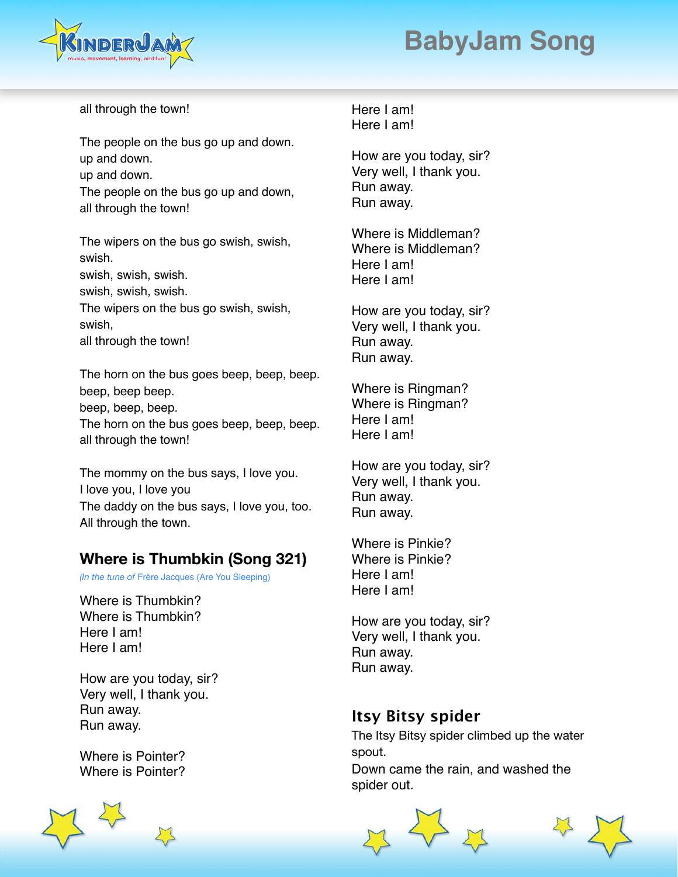



all through the town!

The people on the bus go up and down. up and down. up and down. The people on the bus go up and down, all through the town!

The wipers on the bus go swish, swish, swish. swish, swish, swish. swish, swish, swish. The wipers on the bus go swish, swish, swish, all through the town!

The horn on the bus goes beep, beep, beep. beep, beep beep. beep, beep, beep. The horn on the bus goes beep, beep, beep. all through the town!

The mommy on the bus says, I love you. I love you, I love you The daddy on the bus says, I love you, too. All through the town.

### **Where is Thumbkin (Song 321)**

*(In the tune of* Frère Jacques (Are You Sleeping)

Where is Thumbkin? Where is Thumbkin? Here I am! Here I am!

How are you today, sir? Very well, I thank you. Run away. Run away.

Where is Pointer? Where is Pointer?



Here I am! Here I am!

How are you today, sir? Very well, I thank you. Run away. Run away.

Where is Middleman? Where is Middleman? Here I am! Here I am!

How are you today, sir? Very well, I thank you. Run away. Run away.

Where is Ringman? Where is Ringman? Here I am! Here I am!

How are you today, sir? Very well, I thank you. Run away. Run away.

Where is Pinkie? Where is Pinkie? Here I am! Here I am!

How are you today, sir? Very well, I thank you. Run away. Run away.

### **Itsy Bitsy spider**

The Itsy Bitsy spider climbed up the water spout. Down came the rain, and washed the spider out.